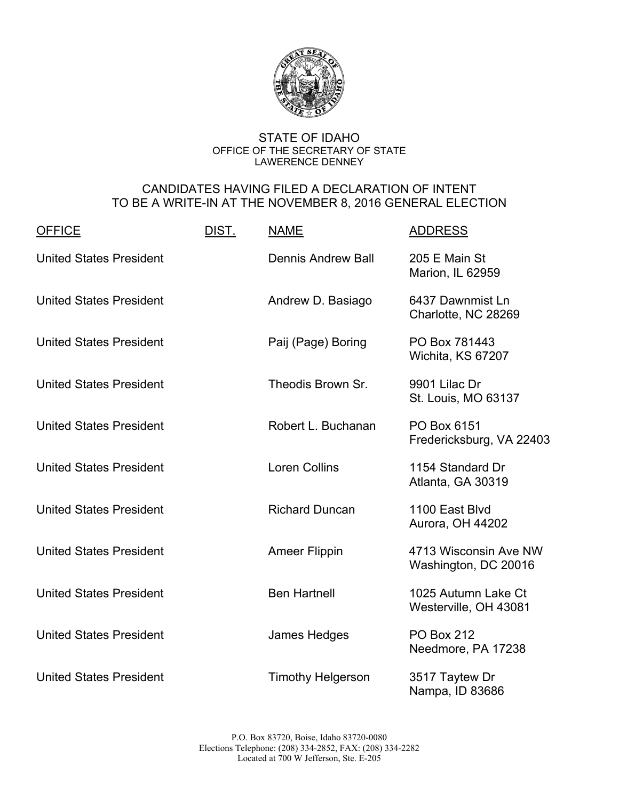

## STATE OF IDAHO OFFICE OF THE SECRETARY OF STATE LAWERENCE DENNEY

## CANDIDATES HAVING FILED A DECLARATION OF INTENT TO BE A WRITE-IN AT THE NOVEMBER 8, 2016 GENERAL ELECTION

| <b>OFFICE</b>                  | DIST. | <b>NAME</b>               | <b>ADDRESS</b>                                |
|--------------------------------|-------|---------------------------|-----------------------------------------------|
| <b>United States President</b> |       | <b>Dennis Andrew Ball</b> | 205 E Main St<br>Marion, IL 62959             |
| <b>United States President</b> |       | Andrew D. Basiago         | 6437 Dawnmist Ln<br>Charlotte, NC 28269       |
| <b>United States President</b> |       | Paij (Page) Boring        | PO Box 781443<br>Wichita, KS 67207            |
| <b>United States President</b> |       | Theodis Brown Sr.         | 9901 Lilac Dr<br>St. Louis, MO 63137          |
| <b>United States President</b> |       | Robert L. Buchanan        | PO Box 6151<br>Fredericksburg, VA 22403       |
| <b>United States President</b> |       | <b>Loren Collins</b>      | 1154 Standard Dr<br>Atlanta, GA 30319         |
| <b>United States President</b> |       | <b>Richard Duncan</b>     | 1100 East Blvd<br>Aurora, OH 44202            |
| <b>United States President</b> |       | <b>Ameer Flippin</b>      | 4713 Wisconsin Ave NW<br>Washington, DC 20016 |
| <b>United States President</b> |       | <b>Ben Hartnell</b>       | 1025 Autumn Lake Ct<br>Westerville, OH 43081  |
| <b>United States President</b> |       | James Hedges              | <b>PO Box 212</b><br>Needmore, PA 17238       |
| <b>United States President</b> |       | <b>Timothy Helgerson</b>  | 3517 Taytew Dr<br>Nampa, ID 83686             |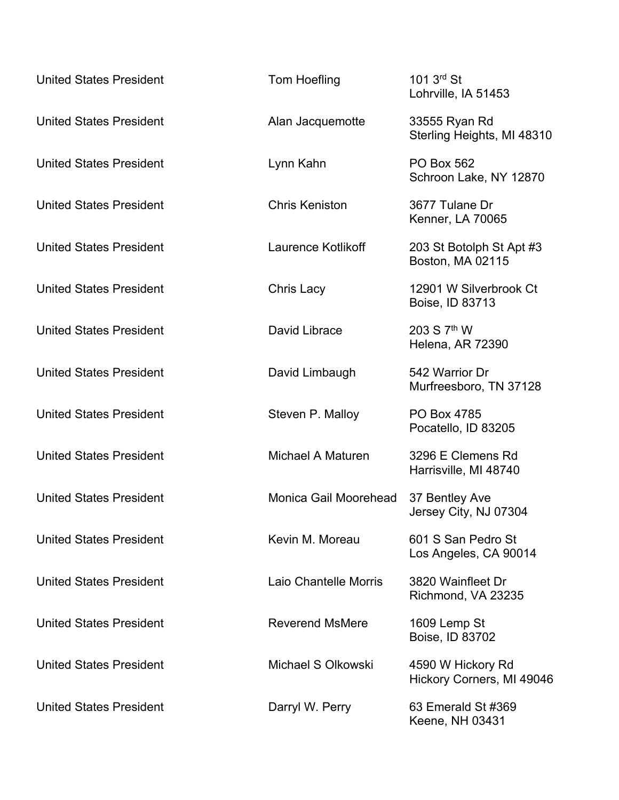| <b>United States President</b> | Tom Hoefling           | 101 3rd St<br>Lohrville, IA 51453              |
|--------------------------------|------------------------|------------------------------------------------|
| <b>United States President</b> | Alan Jacquemotte       | 33555 Ryan Rd<br>Sterling Heights, MI 48310    |
| <b>United States President</b> | Lynn Kahn              | <b>PO Box 562</b><br>Schroon Lake, NY 12870    |
| <b>United States President</b> | <b>Chris Keniston</b>  | 3677 Tulane Dr<br><b>Kenner, LA 70065</b>      |
| <b>United States President</b> | Laurence Kotlikoff     | 203 St Botolph St Apt #3<br>Boston, MA 02115   |
| <b>United States President</b> | <b>Chris Lacy</b>      | 12901 W Silverbrook Ct<br>Boise, ID 83713      |
| <b>United States President</b> | David Librace          | 203 S 7 <sup>th</sup> W<br>Helena, AR 72390    |
| <b>United States President</b> | David Limbaugh         | 542 Warrior Dr<br>Murfreesboro, TN 37128       |
| <b>United States President</b> | Steven P. Malloy       | PO Box 4785<br>Pocatello, ID 83205             |
| <b>United States President</b> | Michael A Maturen      | 3296 E Clemens Rd<br>Harrisville, MI 48740     |
| <b>United States President</b> | Monica Gail Moorehead  | 37 Bentley Ave<br>Jersey City, NJ 07304        |
| <b>United States President</b> | Kevin M. Moreau        | 601 S San Pedro St<br>Los Angeles, CA 90014    |
| <b>United States President</b> | Laio Chantelle Morris  | 3820 Wainfleet Dr<br>Richmond, VA 23235        |
| <b>United States President</b> | <b>Reverend MsMere</b> | 1609 Lemp St<br>Boise, ID 83702                |
| <b>United States President</b> | Michael S Olkowski     | 4590 W Hickory Rd<br>Hickory Corners, MI 49046 |
| <b>United States President</b> | Darryl W. Perry        | 63 Emerald St #369<br>Keene, NH 03431          |